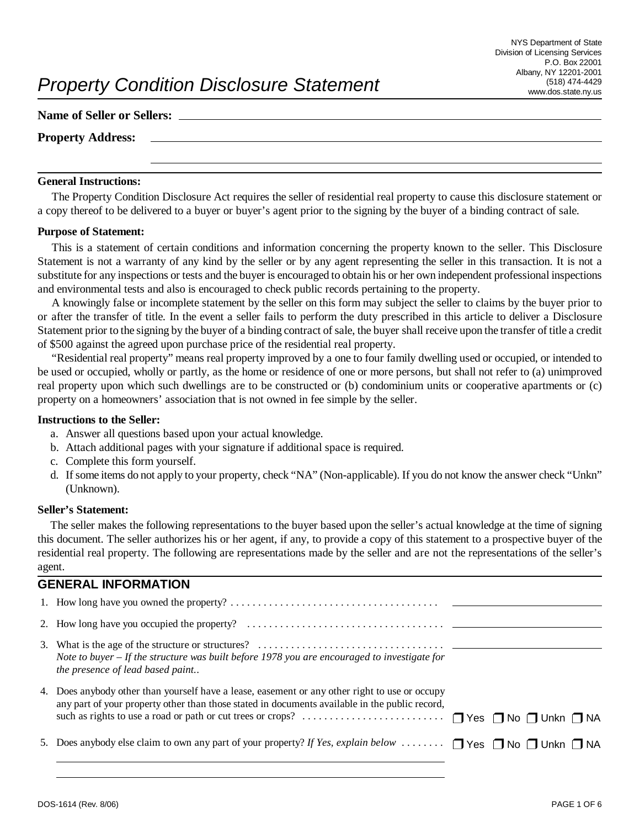# (518) 474-4429 *Property Condition Disclosure Statement* www.dos.state.ny.us

|  | <b>Name of Seller or Sellers:</b> |  |
|--|-----------------------------------|--|
|  |                                   |  |

**Property Address:**

### **General Instructions:**

The Property Condition Disclosure Act requires the seller of residential real property to cause this disclosure statement or a copy thereof to be delivered to a buyer or buyer's agent prior to the signing by the buyer of a binding contract of sale.

#### **Purpose of Statement:**

This is a statement of certain conditions and information concerning the property known to the seller. This Disclosure Statement is not a warranty of any kind by the seller or by any agent representing the seller in this transaction. It is not a substitute for any inspections or tests and the buyer is encouraged to obtain his or her own independent professional inspections and environmental tests and also is encouraged to check public records pertaining to the property.

A knowingly false or incomplete statement by the seller on this form may subject the seller to claims by the buyer prior to or after the transfer of title. In the event a seller fails to perform the duty prescribed in this article to deliver a Disclosure Statement prior to the signing by the buyer of a binding contract of sale, the buyer shall receive upon the transfer of title a credit of \$500 against the agreed upon purchase price of the residential real property.

"Residential real property" means real property improved by a one to four family dwelling used or occupied, or intended to be used or occupied, wholly or partly, as the home or residence of one or more persons, but shall not refer to (a) unimproved real property upon which such dwellings are to be constructed or (b) condominium units or cooperative apartments or (c) property on a homeowners' association that is not owned in fee simple by the seller.

### **Instructions to the Seller:**

- a. Answer all questions based upon your actual knowledge.
- b. Attach additional pages with your signature if additional space is required.
- c. Complete this form yourself.
- d. If some items do not apply to your property, check "NA" (Non-applicable). If you do not know the answer check "Unkn" (Unknown).

#### **Seller's Statement:**

The seller makes the following representations to the buyer based upon the seller's actual knowledge at the time of signing this document. The seller authorizes his or her agent, if any, to provide a copy of this statement to a prospective buyer of the residential real property. The following are representations made by the seller and are not the representations of the seller's agent.

### **GENERAL INFORMATION**

| 2. How long have you occupied the property? $\dots \dots \dots \dots \dots \dots \dots \dots \dots \dots \dots \dots \dots$                                                                                                                                       |  |  |
|-------------------------------------------------------------------------------------------------------------------------------------------------------------------------------------------------------------------------------------------------------------------|--|--|
| 3. What is the age of the structure or structures? $\dots \dots \dots \dots \dots \dots \dots \dots \dots \dots \dots \dots$<br>Note to buyer $-If$ the structure was built before 1978 you are encouraged to investigate for<br>the presence of lead based paint |  |  |
| 4. Does anybody other than yourself have a lease, easement or any other right to use or occupy<br>any part of your property other than those stated in documents available in the public record,                                                                  |  |  |
| 5. Does anybody else claim to own any part of your property? If Yes, explain below  T Yes T No T Unkn T NA                                                                                                                                                        |  |  |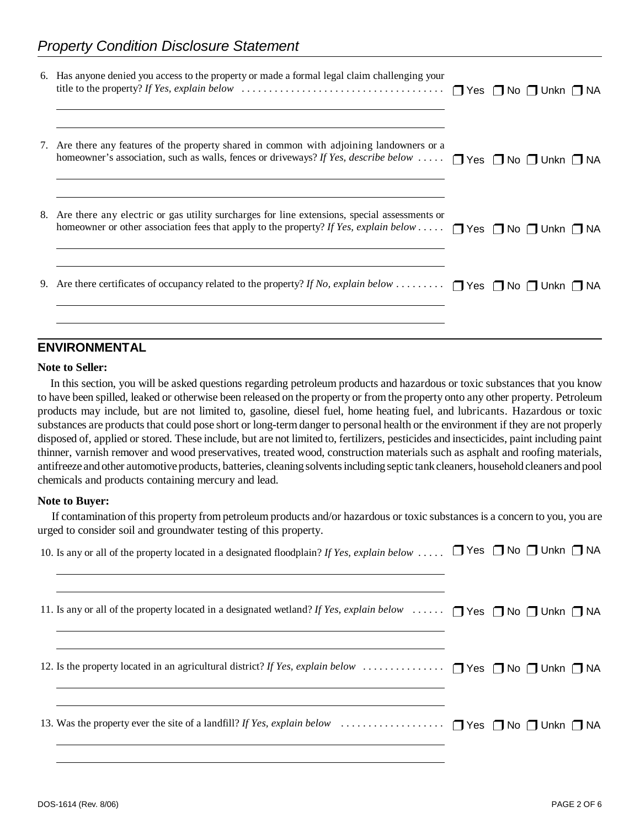| 6. Has anyone denied you access to the property or made a formal legal claim challenging your                                                                                                                                       |  |  |
|-------------------------------------------------------------------------------------------------------------------------------------------------------------------------------------------------------------------------------------|--|--|
| 7. Are there any features of the property shared in common with adjoining landowners or a<br>homeowner's association, such as walls, fences or driveways? If Yes, describe below $\Box$ Yes $\Box$ No $\Box$ Unkn $\Box$ NA         |  |  |
| 8. Are there any electric or gas utility surcharges for line extensions, special assessments or<br>homeowner or other association fees that apply to the property? If Yes, explain below $\Box$ Yes $\Box$ No $\Box$ Unkn $\Box$ NA |  |  |
| 9. Are there certificates of occupancy related to the property? If No, explain below  T Yes T No T Unkn T NA                                                                                                                        |  |  |
|                                                                                                                                                                                                                                     |  |  |

### **ENVIRONMENTAL**

### **Note to Seller:**

In this section, you will be asked questions regarding petroleum products and hazardous or toxic substances that you know to have been spilled, leaked or otherwise been released on the property or from the property onto any other property. Petroleum products may include, but are not limited to, gasoline, diesel fuel, home heating fuel, and lubricants. Hazardous or toxic substances are products that could pose short or long-term danger to personal health or the environment if they are not properly disposed of, applied or stored. These include, but are not limited to, fertilizers, pesticides and insecticides, paint including paint thinner, varnish remover and wood preservatives, treated wood, construction materials such as asphalt and roofing materials, antifreeze and other automotive products, batteries, cleaning solvents including septic tank cleaners, household cleaners and pool chemicals and products containing mercury and lead.

#### **Note to Buyer:**

If contamination of this property from petroleum products and/or hazardous or toxic substances is a concern to you, you are urged to consider soil and groundwater testing of this property.

| 10. Is any or all of the property located in a designated floodplain? If Yes, explain below $\dots$                                 | $\Box$ Yes $\Box$ No $\Box$ Unkn $\Box$ NA |  |
|-------------------------------------------------------------------------------------------------------------------------------------|--------------------------------------------|--|
| 11. Is any or all of the property located in a designated wetland? If Yes, explain below $\Box$ Yes $\Box$ No $\Box$ Unkn $\Box$ NA |                                            |  |
| 12. Is the property located in an agricultural district? If Yes, explain below  T Yes J No J Unkn J NA                              |                                            |  |
| 13. Was the property ever the site of a landfill? If Yes, explain below  T Yes T No T Unkn T NA                                     |                                            |  |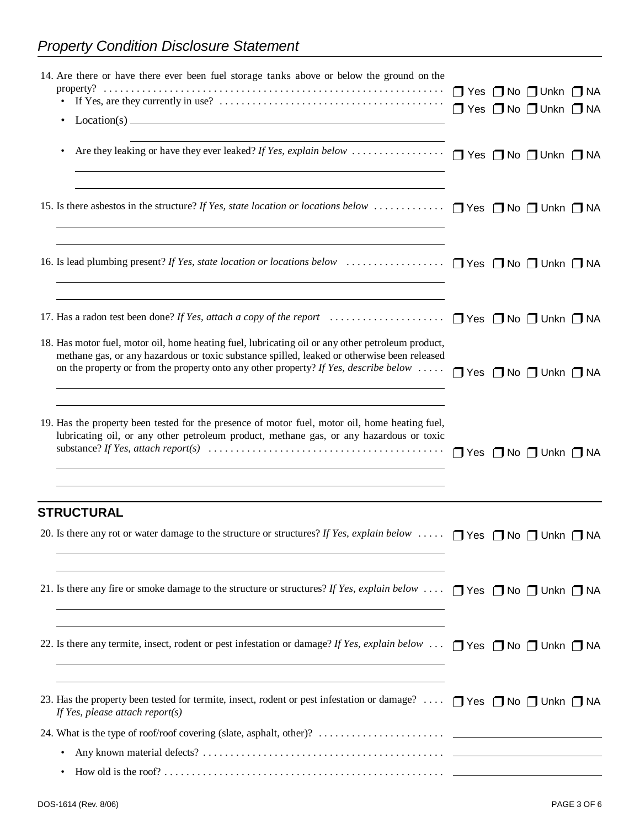## *Property Condition Disclosure Statement*

| 14. Are there or have there ever been fuel storage tanks above or below the ground on the                                                                                                                                                                                                |  |                                            |  |
|------------------------------------------------------------------------------------------------------------------------------------------------------------------------------------------------------------------------------------------------------------------------------------------|--|--------------------------------------------|--|
|                                                                                                                                                                                                                                                                                          |  | □ Yes □ No □ Unkn □ NA                     |  |
| ٠                                                                                                                                                                                                                                                                                        |  | $\Box$ Yes $\Box$ No $\Box$ Unkn $\Box$ NA |  |
| Are they leaking or have they ever leaked? If Yes, explain below $\dots\dots\dots\dots\dots\dots$                                                                                                                                                                                        |  | □ Yes □ No □ Unkn □ NA                     |  |
| 15. Is there asbestos in the structure? If Yes, state location or locations below  T Yes T No T Unkn T NA                                                                                                                                                                                |  |                                            |  |
|                                                                                                                                                                                                                                                                                          |  |                                            |  |
|                                                                                                                                                                                                                                                                                          |  |                                            |  |
| 18. Has motor fuel, motor oil, home heating fuel, lubricating oil or any other petroleum product,<br>methane gas, or any hazardous or toxic substance spilled, leaked or otherwise been released<br>on the property or from the property onto any other property? If Yes, describe below |  | $\Box$ Yes $\Box$ No $\Box$ Unkn $\Box$ NA |  |
| 19. Has the property been tested for the presence of motor fuel, motor oil, home heating fuel,<br>lubricating oil, or any other petroleum product, methane gas, or any hazardous or toxic                                                                                                |  | □ Yes □ No □ Unkn □ NA                     |  |
| <b>STRUCTURAL</b>                                                                                                                                                                                                                                                                        |  |                                            |  |
| 20. Is there any rot or water damage to the structure or structures? If Yes, explain below  T Yes $\Box$ No $\Box$ Unkn $\Box$ NA                                                                                                                                                        |  |                                            |  |
| 21. Is there any fire or smoke damage to the structure or structures? If Yes, explain below $\Box$ Yes $\Box$ No $\Box$ Unkn $\Box$ NA                                                                                                                                                   |  |                                            |  |
| <u> 1989 - Johann Stoff, deutscher Stoffen und der Stoffen und der Stoffen und der Stoffen und der Stoffen und der</u><br>22. Is there any termite, insect, rodent or pest infestation or damage? If Yes, explain below  T Yes T No T Unkn T NA                                          |  |                                            |  |
| <u> 1989 - Johann Stoff, deutscher Stoffen und der Stoffen und der Stoffen und der Stoffen und der Stoffen und der</u><br>23. Has the property been tested for termite, insect, rodent or pest infestation or damage?  TYes TNo TUnkn TNA<br>If Yes, please attach report(s)             |  |                                            |  |
|                                                                                                                                                                                                                                                                                          |  |                                            |  |
| $\bullet$                                                                                                                                                                                                                                                                                |  |                                            |  |
| $\bullet$                                                                                                                                                                                                                                                                                |  |                                            |  |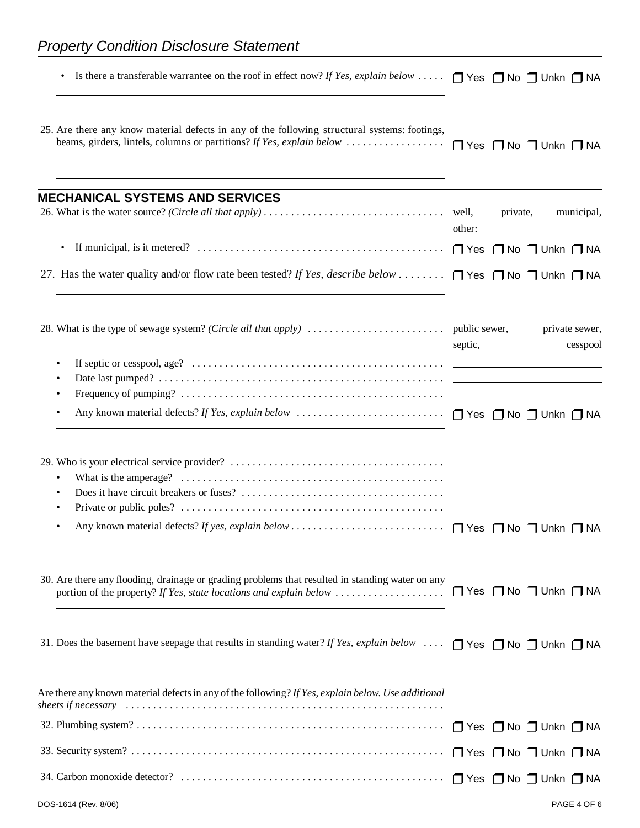| Is there a transferable warrantee on the roof in effect now? If Yes, explain below $\Box$ Yes $\Box$ No $\Box$ Unkn $\Box$ NA                                          |                          |          |                                            |                            |
|------------------------------------------------------------------------------------------------------------------------------------------------------------------------|--------------------------|----------|--------------------------------------------|----------------------------|
| 25. Are there any know material defects in any of the following structural systems: footings,<br>beams, girders, lintels, columns or partitions? If Yes, explain below |                          |          | □ Yes □ No □ Unkn □ NA                     |                            |
| <b>MECHANICAL SYSTEMS AND SERVICES</b>                                                                                                                                 |                          | private, |                                            | municipal,                 |
| $\bullet$                                                                                                                                                              |                          |          |                                            |                            |
| 27. Has the water quality and/or flow rate been tested? If Yes, describe below                                                                                         |                          |          | $\Box$ Yes $\Box$ No $\Box$ Unkn $\Box$ NA |                            |
|                                                                                                                                                                        | public sewer,<br>septic, |          |                                            | private sewer,<br>cesspool |
| ٠                                                                                                                                                                      |                          |          |                                            |                            |
| ٠                                                                                                                                                                      |                          |          |                                            |                            |
| ٠<br>$\bullet$<br>٠                                                                                                                                                    |                          |          |                                            |                            |
| ٠                                                                                                                                                                      |                          |          |                                            |                            |
| 30. Are there any flooding, drainage or grading problems that resulted in standing water on any<br>portion of the property? If Yes, state locations and explain below  |                          |          | □ Yes □ No □ Unkn □ NA                     |                            |
| 31. Does the basement have seepage that results in standing water? If Yes, explain below $\dots$                                                                       |                          |          | $\Box$ Yes $\Box$ No $\Box$ Unkn $\Box$ NA |                            |
| Are there any known material defects in any of the following? If Yes, explain below. Use additional                                                                    |                          |          |                                            |                            |
|                                                                                                                                                                        |                          |          | $\Box$ Yes $\Box$ No $\Box$ Unkn $\Box$ NA |                            |
|                                                                                                                                                                        |                          |          | $\Box$ Yes $\Box$ No $\Box$ Unkn $\Box$ NA |                            |
|                                                                                                                                                                        |                          |          | $\Box$ Yes $\Box$ No $\Box$ Unkn $\Box$ NA |                            |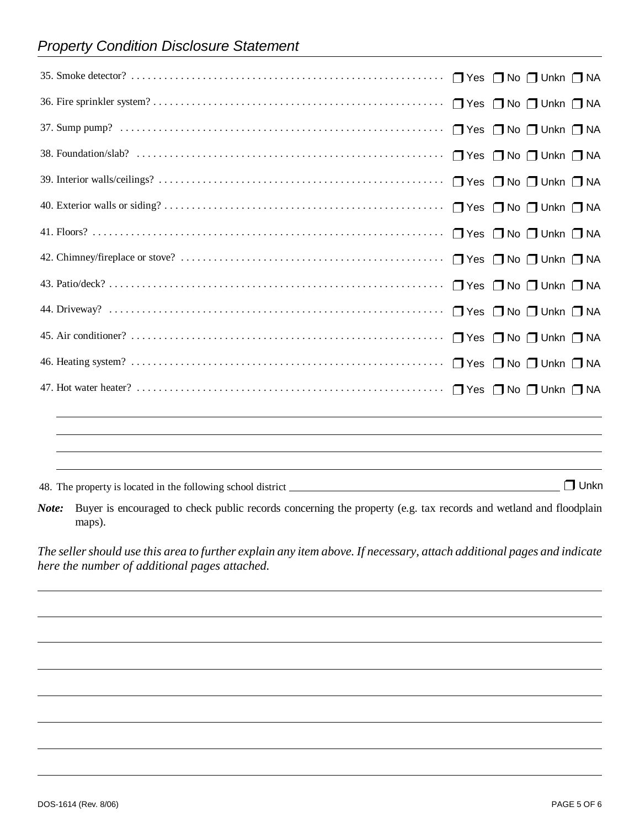|                                                                                                                                                                        | $\Box$ Yes $\Box$ No $\Box$ Unkn $\Box$ NA |             |
|------------------------------------------------------------------------------------------------------------------------------------------------------------------------|--------------------------------------------|-------------|
|                                                                                                                                                                        | □ Yes □ No □ Unkn □ NA                     |             |
|                                                                                                                                                                        | □ Yes □ No □ Unkn □ NA                     |             |
|                                                                                                                                                                        | □ Yes □ No □ Unkn □ NA                     |             |
|                                                                                                                                                                        | ■ Yes ■ No ■ Unkn ■ NA                     |             |
|                                                                                                                                                                        | □ Yes □ No □ Unkn □ NA                     |             |
|                                                                                                                                                                        | $\Box$ Yes $\Box$ No $\Box$ Unkn $\Box$ NA |             |
|                                                                                                                                                                        | □ Yes □ No □ Unkn □ NA                     |             |
|                                                                                                                                                                        | $\Box$ Yes $\Box$ No $\Box$ Unkn $\Box$ NA |             |
|                                                                                                                                                                        | □ Yes □ No □ Unkn □ NA                     |             |
|                                                                                                                                                                        | □ Yes □ No □ Unkn □ NA                     |             |
|                                                                                                                                                                        | □ Yes □ No □ Unkn □ NA                     |             |
|                                                                                                                                                                        | $\Box$ Yes $\Box$ No $\Box$ Unkn $\Box$ NA |             |
|                                                                                                                                                                        |                                            |             |
|                                                                                                                                                                        |                                            | $\Box$ Unkn |
| Buyer is encouraged to check public records concerning the property (e.g. tax records and wetland and floodplain<br>Note:<br>maps).                                    |                                            |             |
| The seller should use this area to further explain any item above. If necessary, attach additional pages and indicate<br>here the number of additional pages attached. |                                            |             |
|                                                                                                                                                                        |                                            |             |